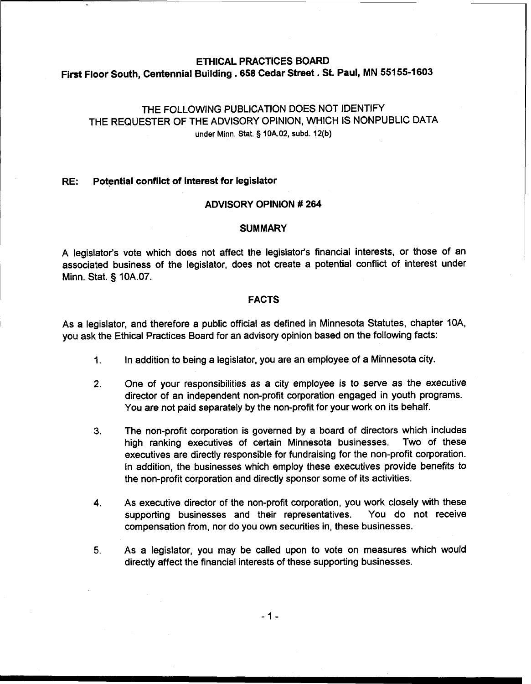# ETHICAL PRACTICES BOARD First Floor South, Centennial Building **.658** Cedar Street . St. Paul, MN **551 55-1** <sup>603</sup>

# THE FOLLOWING PUBLICATION DOES NOT IDENTIFY THE REQUESTER OF THE ADVISORY OPINION, WHICH IS NONPUBLIC DATA under Minn. Stat. § 10A.02, subd. 12(b)

#### **RE:** Potential conflict of interest for legislator

## ADVISORY OPINION # 264

#### **SUMMARY**

A legislator's vote which does not affect the legislator's financial interests, or those of an associated business of the legislator, does not create a potential conflict of interest under Minn. Stat. **3** 10A.07.

#### FACTS

As a legislator, and therefore a public official as defined in Minnesota Statutes, chapter IOA, you ask the Ethical Practices Board for an advisory opinion based on the following facts:

- 1. In addition to being a legislator, you are an employee of a Minnesota city.
- **2.** One of your responsibilities as a city employee is to serve as the executive director of an independent non-profit corporation engaged in youth programs. You are not paid separately by the non-profit for your work on its behalf.
- **3.** The non-profit corporation is governed by a board of directors which includes high ranking executives of certain Minnesota businesses. Two of these executives are directly responsible for fundraising for the non-profit corporation. In addition, the businesses which employ these executives provide benefits to the non-profit corporation and directly sponsor some of its activities.
- **4.** As executive director of the non-profit corporation, you work closely with these supporting businesses and their representatives. You do not receive compensation from, nor do you own securities in, these businesses.
- **5.** As a legislator, you may be called upon to vote on measures which would directly affect the financial interests of these supporting businesses.

 $-1-$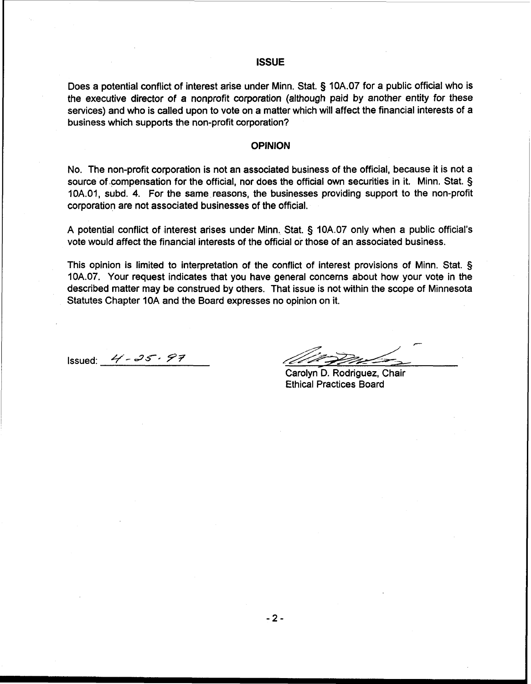#### **ISSUE**

Does a potential conflict of interest arise under Minn. Stat. § **10A.07** for a public official who is the executive director of a nonprofit corporation (although paid by another entity for these services) and who is called upon to vote on a matter which will affect the financial interests of a business which supports the non-profit corporation?

# **I OPINION**

No. The non-profit corporation is not an associated business of the official, because it is not a source of compensation for the official, nor does the official own securities in it. Minn. Stat. § **10A.O1,** subd. **4.** For the same reasons, the businesses providing support to the non-profit corporation are not associated businesses of the official.

**A** potential conflict of interest arises under Minn. Stat. § **10A.07** only when **a** public official's vote would affect the financial interests of the official or those of an associated business.

This opinion is limited to interpretation of the conflict of interest provisions of Minn. Stat. § **10A.07.** Your request indicates that you have general concerns about how your vote in the described matter may be construed by others. That issue is not within the scope of Minnesota Statutes Chapter **10A** and the Board expresses no opinion on it.

Issued: **q** - **2s-- 97** 

Carolyn D. Rodriguez, Chair Ethical Practices Board